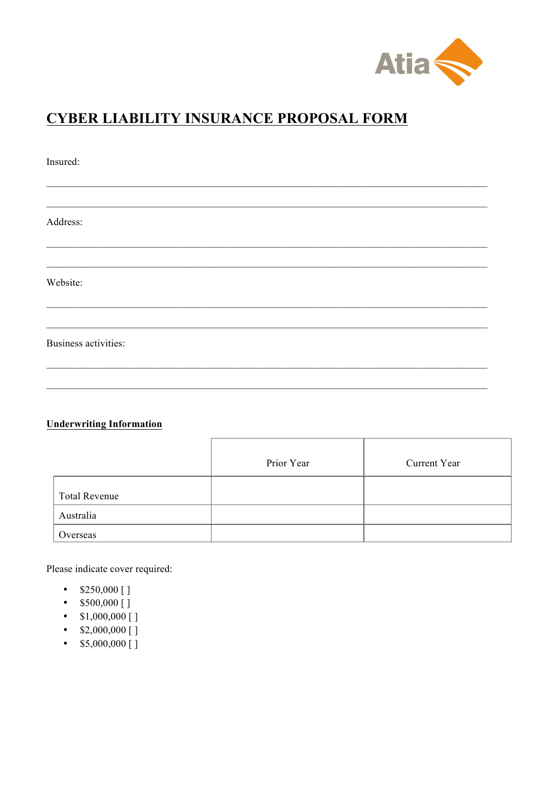

## **CYBER LIABILITY INSURANCE PROPOSAL FORM**

| Insured:                    |  |  |  |
|-----------------------------|--|--|--|
|                             |  |  |  |
| Address:                    |  |  |  |
|                             |  |  |  |
| Website:                    |  |  |  |
|                             |  |  |  |
| <b>Business activities:</b> |  |  |  |
|                             |  |  |  |

## **Underwriting Information**

|                      | Prior Year | Current Year |
|----------------------|------------|--------------|
| <b>Total Revenue</b> |            |              |
| Australia            |            |              |
| Overseas             |            |              |

Please indicate cover required:

- $$250,000$  []
- $$500,000$  []
- $$1,000,000$  []
- $$2,000,000$  []
- $$5,000,000$  []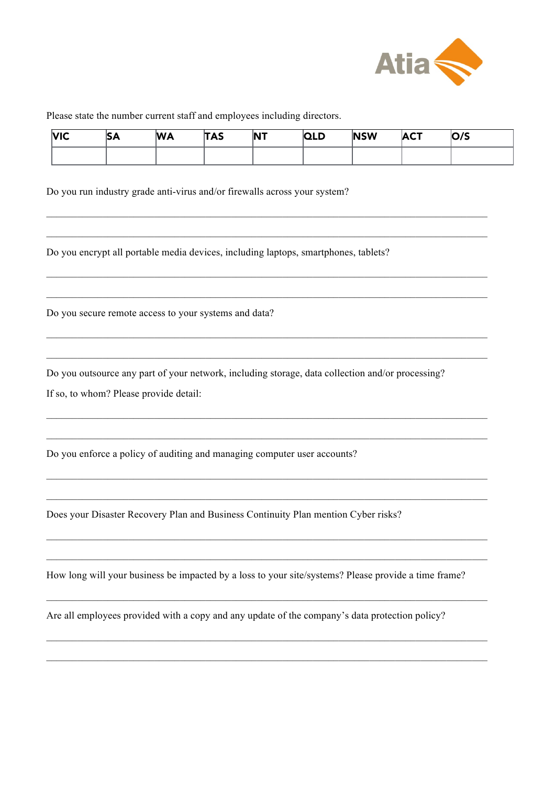

Please state the number current staff and employees including directors.

| N <sub>IC</sub> | ÞА | <b>WA</b> | <b>TAS</b> | <b>NT</b> | ה ורו<br>~ | <b>NSW</b> | <b>ACT</b> | O/S |
|-----------------|----|-----------|------------|-----------|------------|------------|------------|-----|
|                 |    |           |            |           |            |            |            |     |

 $\mathcal{L}_\text{max} = \mathcal{L}_\text{max} = \mathcal{L}_\text{max} = \mathcal{L}_\text{max} = \mathcal{L}_\text{max} = \mathcal{L}_\text{max} = \mathcal{L}_\text{max} = \mathcal{L}_\text{max} = \mathcal{L}_\text{max} = \mathcal{L}_\text{max} = \mathcal{L}_\text{max} = \mathcal{L}_\text{max} = \mathcal{L}_\text{max} = \mathcal{L}_\text{max} = \mathcal{L}_\text{max} = \mathcal{L}_\text{max} = \mathcal{L}_\text{max} = \mathcal{L}_\text{max} = \mathcal{$ 

 $\_$  , and the set of the set of the set of the set of the set of the set of the set of the set of the set of the set of the set of the set of the set of the set of the set of the set of the set of the set of the set of th

 $\mathcal{L}_\text{max} = \mathcal{L}_\text{max} = \mathcal{L}_\text{max} = \mathcal{L}_\text{max} = \mathcal{L}_\text{max} = \mathcal{L}_\text{max} = \mathcal{L}_\text{max} = \mathcal{L}_\text{max} = \mathcal{L}_\text{max} = \mathcal{L}_\text{max} = \mathcal{L}_\text{max} = \mathcal{L}_\text{max} = \mathcal{L}_\text{max} = \mathcal{L}_\text{max} = \mathcal{L}_\text{max} = \mathcal{L}_\text{max} = \mathcal{L}_\text{max} = \mathcal{L}_\text{max} = \mathcal{$ 

 $\mathcal{L}_\text{max} = \mathcal{L}_\text{max} = \mathcal{L}_\text{max} = \mathcal{L}_\text{max} = \mathcal{L}_\text{max} = \mathcal{L}_\text{max} = \mathcal{L}_\text{max} = \mathcal{L}_\text{max} = \mathcal{L}_\text{max} = \mathcal{L}_\text{max} = \mathcal{L}_\text{max} = \mathcal{L}_\text{max} = \mathcal{L}_\text{max} = \mathcal{L}_\text{max} = \mathcal{L}_\text{max} = \mathcal{L}_\text{max} = \mathcal{L}_\text{max} = \mathcal{L}_\text{max} = \mathcal{$ 

 $\mathcal{L}_\mathcal{L} = \{ \mathcal{L}_\mathcal{L} = \{ \mathcal{L}_\mathcal{L} = \{ \mathcal{L}_\mathcal{L} = \{ \mathcal{L}_\mathcal{L} = \{ \mathcal{L}_\mathcal{L} = \{ \mathcal{L}_\mathcal{L} = \{ \mathcal{L}_\mathcal{L} = \{ \mathcal{L}_\mathcal{L} = \{ \mathcal{L}_\mathcal{L} = \{ \mathcal{L}_\mathcal{L} = \{ \mathcal{L}_\mathcal{L} = \{ \mathcal{L}_\mathcal{L} = \{ \mathcal{L}_\mathcal{L} = \{ \mathcal{L}_\mathcal{$ 

 $\mathcal{L}_\text{max} = \mathcal{L}_\text{max} = \mathcal{L}_\text{max} = \mathcal{L}_\text{max} = \mathcal{L}_\text{max} = \mathcal{L}_\text{max} = \mathcal{L}_\text{max} = \mathcal{L}_\text{max} = \mathcal{L}_\text{max} = \mathcal{L}_\text{max} = \mathcal{L}_\text{max} = \mathcal{L}_\text{max} = \mathcal{L}_\text{max} = \mathcal{L}_\text{max} = \mathcal{L}_\text{max} = \mathcal{L}_\text{max} = \mathcal{L}_\text{max} = \mathcal{L}_\text{max} = \mathcal{$ 

 $\mathcal{L}_\text{max} = \mathcal{L}_\text{max} = \mathcal{L}_\text{max} = \mathcal{L}_\text{max} = \mathcal{L}_\text{max} = \mathcal{L}_\text{max} = \mathcal{L}_\text{max} = \mathcal{L}_\text{max} = \mathcal{L}_\text{max} = \mathcal{L}_\text{max} = \mathcal{L}_\text{max} = \mathcal{L}_\text{max} = \mathcal{L}_\text{max} = \mathcal{L}_\text{max} = \mathcal{L}_\text{max} = \mathcal{L}_\text{max} = \mathcal{L}_\text{max} = \mathcal{L}_\text{max} = \mathcal{$ 

 $\mathcal{L}_\text{max} = \mathcal{L}_\text{max} = \mathcal{L}_\text{max} = \mathcal{L}_\text{max} = \mathcal{L}_\text{max} = \mathcal{L}_\text{max} = \mathcal{L}_\text{max} = \mathcal{L}_\text{max} = \mathcal{L}_\text{max} = \mathcal{L}_\text{max} = \mathcal{L}_\text{max} = \mathcal{L}_\text{max} = \mathcal{L}_\text{max} = \mathcal{L}_\text{max} = \mathcal{L}_\text{max} = \mathcal{L}_\text{max} = \mathcal{L}_\text{max} = \mathcal{L}_\text{max} = \mathcal{$ 

 $\_$  , and the set of the set of the set of the set of the set of the set of the set of the set of the set of the set of the set of the set of the set of the set of the set of the set of the set of the set of the set of th

 $\mathcal{L}_\text{max} = \mathcal{L}_\text{max} = \mathcal{L}_\text{max} = \mathcal{L}_\text{max} = \mathcal{L}_\text{max} = \mathcal{L}_\text{max} = \mathcal{L}_\text{max} = \mathcal{L}_\text{max} = \mathcal{L}_\text{max} = \mathcal{L}_\text{max} = \mathcal{L}_\text{max} = \mathcal{L}_\text{max} = \mathcal{L}_\text{max} = \mathcal{L}_\text{max} = \mathcal{L}_\text{max} = \mathcal{L}_\text{max} = \mathcal{L}_\text{max} = \mathcal{L}_\text{max} = \mathcal{$ 

 $\_$  , and the set of the set of the set of the set of the set of the set of the set of the set of the set of the set of the set of the set of the set of the set of the set of the set of the set of the set of the set of th

 $\mathcal{L}_\text{max} = \mathcal{L}_\text{max} = \mathcal{L}_\text{max} = \mathcal{L}_\text{max} = \mathcal{L}_\text{max} = \mathcal{L}_\text{max} = \mathcal{L}_\text{max} = \mathcal{L}_\text{max} = \mathcal{L}_\text{max} = \mathcal{L}_\text{max} = \mathcal{L}_\text{max} = \mathcal{L}_\text{max} = \mathcal{L}_\text{max} = \mathcal{L}_\text{max} = \mathcal{L}_\text{max} = \mathcal{L}_\text{max} = \mathcal{L}_\text{max} = \mathcal{L}_\text{max} = \mathcal{$ 

Do you run industry grade anti-virus and/or firewalls across your system?

Do you encrypt all portable media devices, including laptops, smartphones, tablets?

Do you secure remote access to your systems and data?

Do you outsource any part of your network, including storage, data collection and/or processing?

If so, to whom? Please provide detail:

Do you enforce a policy of auditing and managing computer user accounts?

Does your Disaster Recovery Plan and Business Continuity Plan mention Cyber risks?

How long will your business be impacted by a loss to your site/systems? Please provide a time frame?

Are all employees provided with a copy and any update of the company's data protection policy?